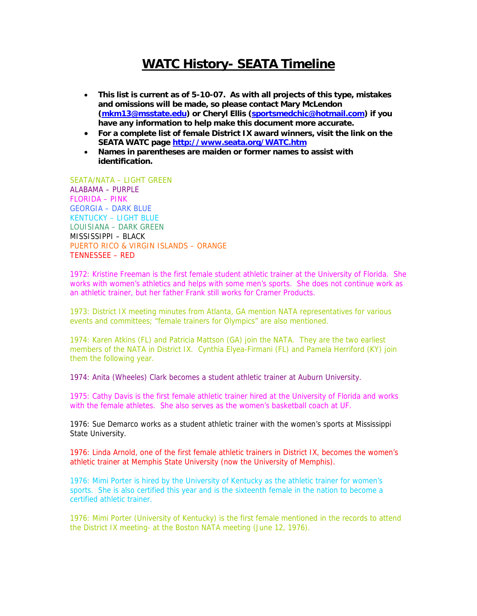## **WATC History- SEATA Timeline**

- **This list is current as of 5-10-07. As with all projects of this type, mistakes and omissions will be made, so please contact Mary McLendon (mkm13@msstate.edu) or Cheryl Ellis (sportsmedchic@hotmail.com) if you have any information to help make this document more accurate.**
- **For a complete list of female District IX award winners, visit the link on the SEATA WATC page http://www.seata.org/WATC.htm**
- **Names in parentheses are maiden or former names to assist with identification.**

SEATA/NATA – LIGHT GREEN ALABAMA – PURPLE FLORIDA – PINK GEORGIA – DARK BLUE KENTUCKY – LIGHT BLUE LOUISIANA – DARK GREEN MISSISSIPPI – BLACK PUERTO RICO & VIRGIN ISLANDS – ORANGE TENNESSEE – RED

1972: Kristine Freeman is the first female student athletic trainer at the University of Florida. She works with women's athletics and helps with some men's sports. She does not continue work as an athletic trainer, but her father Frank still works for Cramer Products.

1973: District IX meeting minutes from Atlanta, GA mention NATA representatives for various events and committees; "female trainers for Olympics" are also mentioned.

1974: Karen Atkins (FL) and Patricia Mattson (GA) join the NATA. They are the two earliest members of the NATA in District IX. Cynthia Elyea-Firmani (FL) and Pamela Herriford (KY) join them the following year.

1974: Anita (Wheeles) Clark becomes a student athletic trainer at Auburn University.

1975: Cathy Davis is the first female athletic trainer hired at the University of Florida and works with the female athletes. She also serves as the women's basketball coach at UF.

1976: Sue Demarco works as a student athletic trainer with the women's sports at Mississippi State University.

1976: Linda Arnold, one of the first female athletic trainers in District IX, becomes the women's athletic trainer at Memphis State University (now the University of Memphis).

1976: Mimi Porter is hired by the University of Kentucky as the athletic trainer for women's sports. She is also certified this year and is the sixteenth female in the nation to become a certified athletic trainer.

1976: Mimi Porter (University of Kentucky) is the first female mentioned in the records to attend the District IX meeting- at the Boston NATA meeting (June 12, 1976).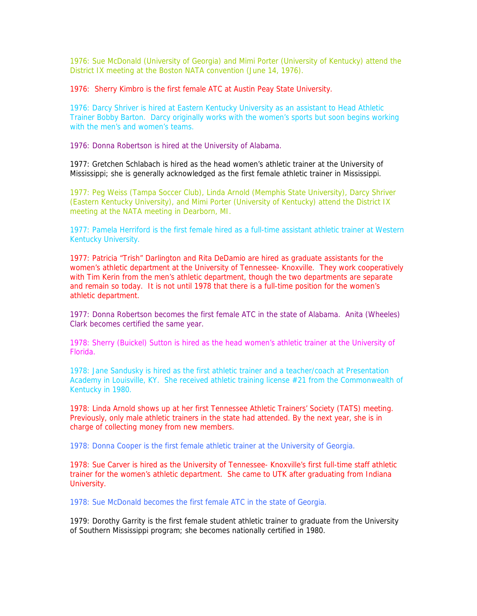1976: Sue McDonald (University of Georgia) and Mimi Porter (University of Kentucky) attend the District IX meeting at the Boston NATA convention (June 14, 1976).

1976: Sherry Kimbro is the first female ATC at Austin Peay State University.

1976: Darcy Shriver is hired at Eastern Kentucky University as an assistant to Head Athletic Trainer Bobby Barton. Darcy originally works with the women's sports but soon begins working with the men's and women's teams.

1976: Donna Robertson is hired at the University of Alabama.

1977: Gretchen Schlabach is hired as the head women's athletic trainer at the University of Mississippi; she is generally acknowledged as the first female athletic trainer in Mississippi.

1977: Peg Weiss (Tampa Soccer Club), Linda Arnold (Memphis State University), Darcy Shriver (Eastern Kentucky University), and Mimi Porter (University of Kentucky) attend the District IX meeting at the NATA meeting in Dearborn, MI.

1977: Pamela Herriford is the first female hired as a full-time assistant athletic trainer at Western Kentucky University.

1977: Patricia "Trish" Darlington and Rita DeDamio are hired as graduate assistants for the women's athletic department at the University of Tennessee- Knoxville. They work cooperatively with Tim Kerin from the men's athletic department, though the two departments are separate and remain so today. It is not until 1978 that there is a full-time position for the women's athletic department.

1977: Donna Robertson becomes the first female ATC in the state of Alabama. Anita (Wheeles) Clark becomes certified the same year.

1978: Sherry (Buickel) Sutton is hired as the head women's athletic trainer at the University of Florida.

1978: Jane Sandusky is hired as the first athletic trainer and a teacher/coach at Presentation Academy in Louisville, KY. She received athletic training license #21 from the Commonwealth of Kentucky in 1980.

1978: Linda Arnold shows up at her first Tennessee Athletic Trainers' Society (TATS) meeting. Previously, only male athletic trainers in the state had attended. By the next year, she is in charge of collecting money from new members.

1978: Donna Cooper is the first female athletic trainer at the University of Georgia.

1978: Sue Carver is hired as the University of Tennessee- Knoxville's first full-time staff athletic trainer for the women's athletic department. She came to UTK after graduating from Indiana University.

1978: Sue McDonald becomes the first female ATC in the state of Georgia.

1979: Dorothy Garrity is the first female student athletic trainer to graduate from the University of Southern Mississippi program; she becomes nationally certified in 1980.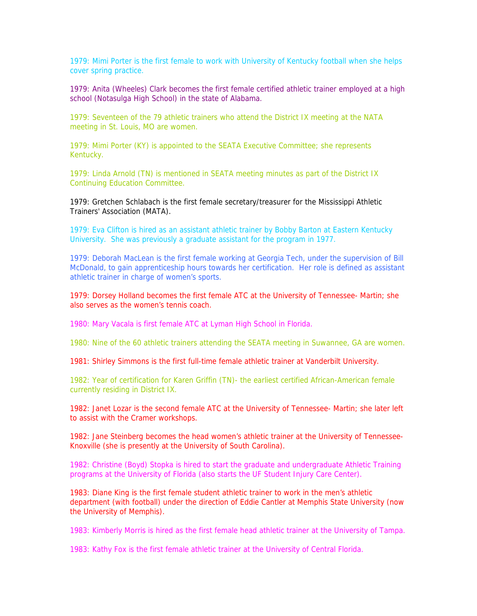1979: Mimi Porter is the first female to work with University of Kentucky football when she helps cover spring practice.

1979: Anita (Wheeles) Clark becomes the first female certified athletic trainer employed at a high school (Notasulga High School) in the state of Alabama.

1979: Seventeen of the 79 athletic trainers who attend the District IX meeting at the NATA meeting in St. Louis, MO are women.

1979: Mimi Porter (KY) is appointed to the SEATA Executive Committee; she represents Kentucky.

1979: Linda Arnold (TN) is mentioned in SEATA meeting minutes as part of the District IX Continuing Education Committee.

1979: Gretchen Schlabach is the first female secretary/treasurer for the Mississippi Athletic Trainers' Association (MATA).

1979: Eva Clifton is hired as an assistant athletic trainer by Bobby Barton at Eastern Kentucky University. She was previously a graduate assistant for the program in 1977.

1979: Deborah MacLean is the first female working at Georgia Tech, under the supervision of Bill McDonald, to gain apprenticeship hours towards her certification. Her role is defined as assistant athletic trainer in charge of women's sports.

1979: Dorsey Holland becomes the first female ATC at the University of Tennessee- Martin; she also serves as the women's tennis coach.

1980: Mary Vacala is first female ATC at Lyman High School in Florida.

1980: Nine of the 60 athletic trainers attending the SEATA meeting in Suwannee, GA are women.

1981: Shirley Simmons is the first full-time female athletic trainer at Vanderbilt University.

1982: Year of certification for Karen Griffin (TN)- the earliest certified African-American female currently residing in District IX.

1982: Janet Lozar is the second female ATC at the University of Tennessee- Martin; she later left to assist with the Cramer workshops.

1982: Jane Steinberg becomes the head women's athletic trainer at the University of Tennessee-Knoxville (she is presently at the University of South Carolina).

1982: Christine (Boyd) Stopka is hired to start the graduate and undergraduate Athletic Training programs at the University of Florida (also starts the UF Student Injury Care Center).

1983: Diane King is the first female student athletic trainer to work in the men's athletic department (with football) under the direction of Eddie Cantler at Memphis State University (now the University of Memphis).

1983: Kimberly Morris is hired as the first female head athletic trainer at the University of Tampa.

1983: Kathy Fox is the first female athletic trainer at the University of Central Florida.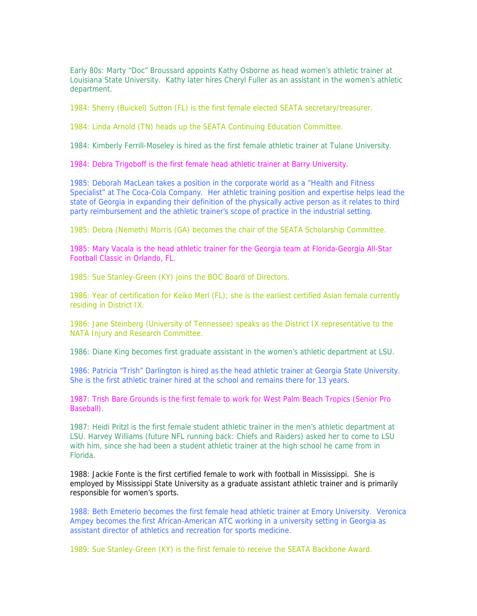Early 80s: Marty "Doc" Broussard appoints Kathy Osborne as head women's athletic trainer at Louisiana State University. Kathy later hires Cheryl Fuller as an assistant in the women's athletic department.

1984: Sherry (Buickel) Sutton (FL) is the first female elected SEATA secretary/treasurer.

1984: Linda Arnold (TN) heads up the SEATA Continuing Education Committee.

1984: Kimberly Ferrill-Moseley is hired as the first female athletic trainer at Tulane University.

1984: Debra Trigoboff is the first female head athletic trainer at Barry University.

1985: Deborah MacLean takes a position in the corporate world as a "Health and Fitness Specialist" at The Coca-Cola Company. Her athletic training position and expertise helps lead the state of Georgia in expanding their definition of the physically active person as it relates to third party reimbursement and the athletic trainer's scope of practice in the industrial setting.

1985: Debra (Nemeth) Morris (GA) becomes the chair of the SEATA Scholarship Committee.

1985: Mary Vacala is the head athletic trainer for the Georgia team at Florida-Georgia All-Star Football Classic in Orlando, FL.

1985: Sue Stanley-Green (KY) joins the BOC Board of Directors.

1986: Year of certification for Keiko Merl (FL); she is the earliest certified Asian female currently residing in District IX.

1986: Jane Steinberg (University of Tennessee) speaks as the District IX representative to the NATA Injury and Research Committee.

1986: Diane King becomes first graduate assistant in the women's athletic department at LSU.

1986: Patricia "Trish" Darlington is hired as the head athletic trainer at Georgia State University. She is the first athletic trainer hired at the school and remains there for 13 years.

1987: Trish Bare Grounds is the first female to work for West Palm Beach Tropics (Senior Pro Baseball).

1987: Heidi Pritzl is the first female student athletic trainer in the men's athletic department at LSU. Harvey Williams (future NFL running back: Chiefs and Raiders) asked her to come to LSU with him, since she had been a student athletic trainer at the high school he came from in Florida.

1988: Jackie Fonte is the first certified female to work with football in Mississippi. She is employed by Mississippi State University as a graduate assistant athletic trainer and is primarily responsible for women's sports.

1988: Beth Emeterio becomes the first female head athletic trainer at Emory University. Veronica Ampey becomes the first African-American ATC working in a university setting in Georgia as assistant director of athletics and recreation for sports medicine.

1989: Sue Stanley-Green (KY) is the first female to receive the SEATA Backbone Award.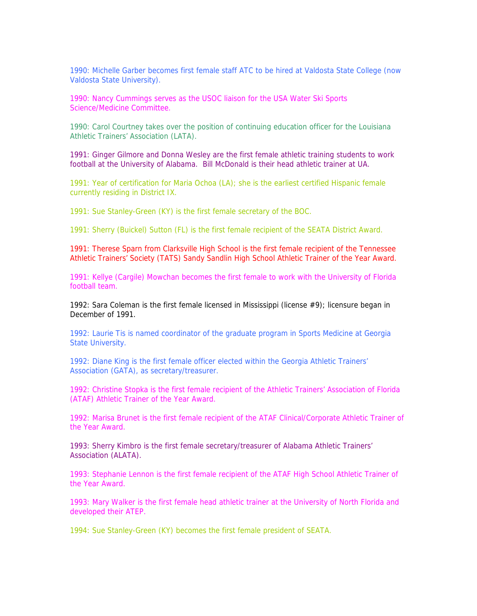1990: Michelle Garber becomes first female staff ATC to be hired at Valdosta State College (now Valdosta State University).

1990: Nancy Cummings serves as the USOC liaison for the USA Water Ski Sports Science/Medicine Committee.

1990: Carol Courtney takes over the position of continuing education officer for the Louisiana Athletic Trainers' Association (LATA).

1991: Ginger Gilmore and Donna Wesley are the first female athletic training students to work football at the University of Alabama. Bill McDonald is their head athletic trainer at UA.

1991: Year of certification for Maria Ochoa (LA); she is the earliest certified Hispanic female currently residing in District IX.

1991: Sue Stanley-Green (KY) is the first female secretary of the BOC.

1991: Sherry (Buickel) Sutton (FL) is the first female recipient of the SEATA District Award.

1991: Therese Sparn from Clarksville High School is the first female recipient of the Tennessee Athletic Trainers' Society (TATS) Sandy Sandlin High School Athletic Trainer of the Year Award.

1991: Kellye (Cargile) Mowchan becomes the first female to work with the University of Florida football team.

1992: Sara Coleman is the first female licensed in Mississippi (license #9); licensure began in December of 1991.

1992: Laurie Tis is named coordinator of the graduate program in Sports Medicine at Georgia State University.

1992: Diane King is the first female officer elected within the Georgia Athletic Trainers' Association (GATA), as secretary/treasurer.

1992: Christine Stopka is the first female recipient of the Athletic Trainers' Association of Florida (ATAF) Athletic Trainer of the Year Award.

1992: Marisa Brunet is the first female recipient of the ATAF Clinical/Corporate Athletic Trainer of the Year Award.

1993: Sherry Kimbro is the first female secretary/treasurer of Alabama Athletic Trainers' Association (ALATA).

1993: Stephanie Lennon is the first female recipient of the ATAF High School Athletic Trainer of the Year Award.

1993: Mary Walker is the first female head athletic trainer at the University of North Florida and developed their ATEP.

1994: Sue Stanley-Green (KY) becomes the first female president of SEATA.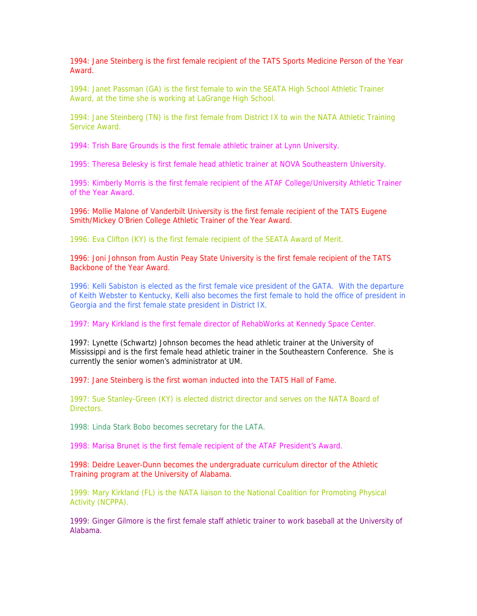1994: Jane Steinberg is the first female recipient of the TATS Sports Medicine Person of the Year Award.

1994: Janet Passman (GA) is the first female to win the SEATA High School Athletic Trainer Award, at the time she is working at LaGrange High School.

1994: Jane Steinberg (TN) is the first female from District IX to win the NATA Athletic Training Service Award.

1994: Trish Bare Grounds is the first female athletic trainer at Lynn University.

1995: Theresa Belesky is first female head athletic trainer at NOVA Southeastern University.

1995: Kimberly Morris is the first female recipient of the ATAF College/University Athletic Trainer of the Year Award.

1996: Mollie Malone of Vanderbilt University is the first female recipient of the TATS Eugene Smith/Mickey O'Brien College Athletic Trainer of the Year Award.

1996: Eva Clifton (KY) is the first female recipient of the SEATA Award of Merit.

1996: Joni Johnson from Austin Peay State University is the first female recipient of the TATS Backbone of the Year Award.

1996: Kelli Sabiston is elected as the first female vice president of the GATA. With the departure of Keith Webster to Kentucky, Kelli also becomes the first female to hold the office of president in Georgia and the first female state president in District IX.

1997: Mary Kirkland is the first female director of RehabWorks at Kennedy Space Center.

1997: Lynette (Schwartz) Johnson becomes the head athletic trainer at the University of Mississippi and is the first female head athletic trainer in the Southeastern Conference. She is currently the senior women's administrator at UM.

1997: Jane Steinberg is the first woman inducted into the TATS Hall of Fame.

1997: Sue Stanley-Green (KY) is elected district director and serves on the NATA Board of Directors.

1998: Linda Stark Bobo becomes secretary for the LATA.

1998: Marisa Brunet is the first female recipient of the ATAF President's Award.

1998: Deidre Leaver-Dunn becomes the undergraduate curriculum director of the Athletic Training program at the University of Alabama.

1999: Mary Kirkland (FL) is the NATA liaison to the National Coalition for Promoting Physical Activity (NCPPA).

1999: Ginger Gilmore is the first female staff athletic trainer to work baseball at the University of Alabama.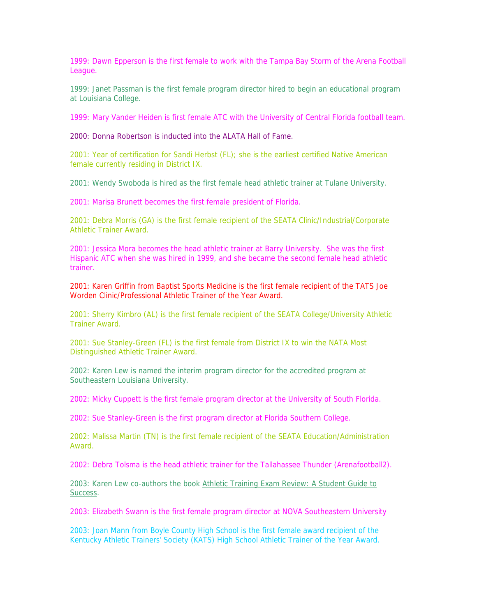1999: Dawn Epperson is the first female to work with the Tampa Bay Storm of the Arena Football League.

1999: Janet Passman is the first female program director hired to begin an educational program at Louisiana College.

1999: Mary Vander Heiden is first female ATC with the University of Central Florida football team.

2000: Donna Robertson is inducted into the ALATA Hall of Fame.

2001: Year of certification for Sandi Herbst (FL); she is the earliest certified Native American female currently residing in District IX.

2001: Wendy Swoboda is hired as the first female head athletic trainer at Tulane University.

2001: Marisa Brunett becomes the first female president of Florida.

2001: Debra Morris (GA) is the first female recipient of the SEATA Clinic/Industrial/Corporate Athletic Trainer Award.

2001: Jessica Mora becomes the head athletic trainer at Barry University. She was the first Hispanic ATC when she was hired in 1999, and she became the second female head athletic trainer.

2001: Karen Griffin from Baptist Sports Medicine is the first female recipient of the TATS Joe Worden Clinic/Professional Athletic Trainer of the Year Award.

2001: Sherry Kimbro (AL) is the first female recipient of the SEATA College/University Athletic Trainer Award.

2001: Sue Stanley-Green (FL) is the first female from District IX to win the NATA Most Distinguished Athletic Trainer Award.

2002: Karen Lew is named the interim program director for the accredited program at Southeastern Louisiana University.

2002: Micky Cuppett is the first female program director at the University of South Florida.

2002: Sue Stanley-Green is the first program director at Florida Southern College.

2002: Malissa Martin (TN) is the first female recipient of the SEATA Education/Administration Award.

2002: Debra Tolsma is the head athletic trainer for the Tallahassee Thunder (Arenafootball2).

2003: Karen Lew co-authors the book Athletic Training Exam Review: A Student Guide to Success.

2003: Elizabeth Swann is the first female program director at NOVA Southeastern University

2003: Joan Mann from Boyle County High School is the first female award recipient of the Kentucky Athletic Trainers' Society (KATS) High School Athletic Trainer of the Year Award.